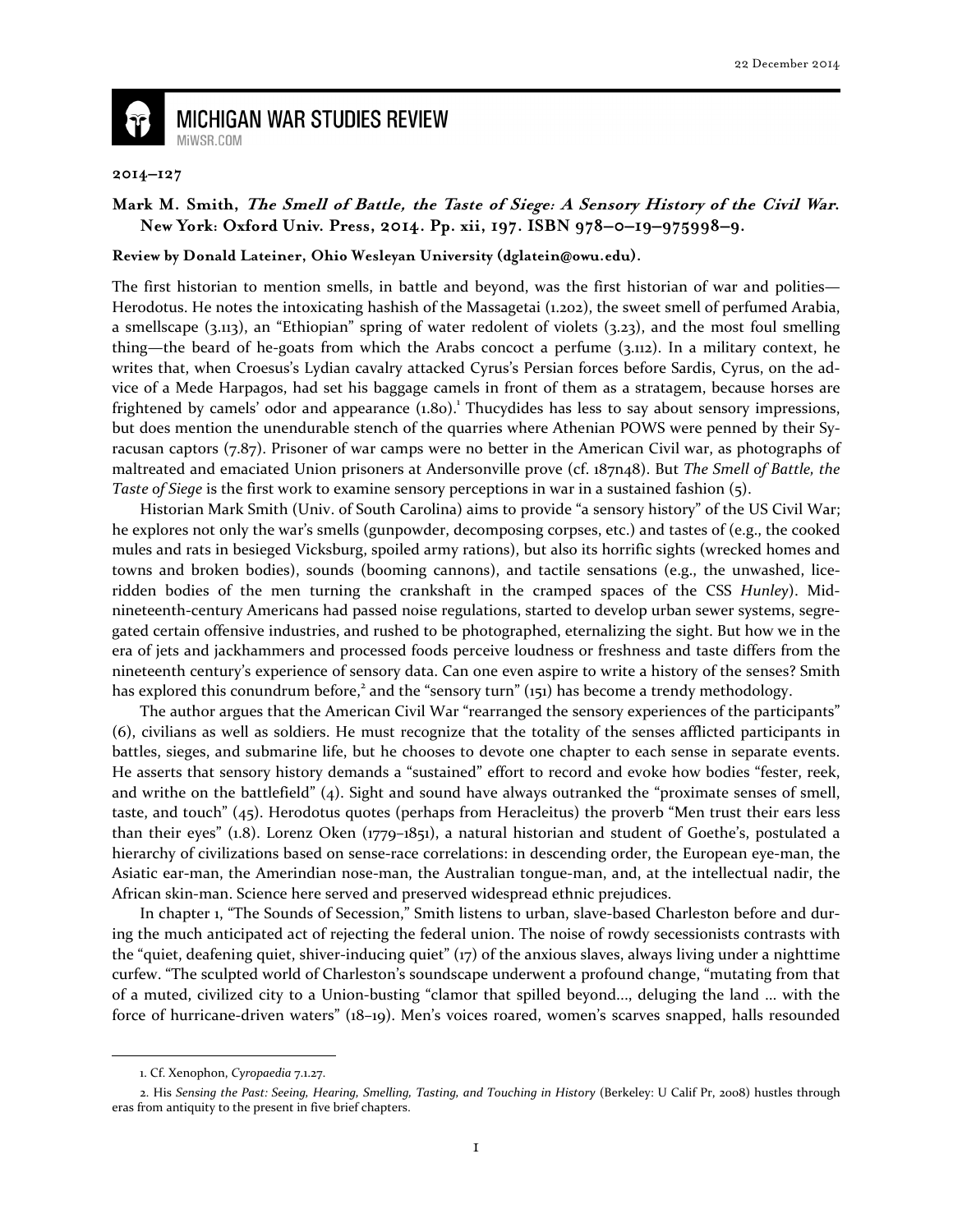

## **MICHIGAN WAR STUDIES REVIEW** MiWSR.COM

## **2014–127**

## **Mark M. Smith, The Smell of Battle, the Taste of Siege: A Sensory History of the Civil War. New York: Oxford Univ. Press, 2014. Pp. xii, 197. ISBN 978–0–19–975998–9.**

## **Review by Donald Lateiner, Ohio Wesleyan University (dglatein@owu.edu).**

The first historian to mention smells, in battle and beyond, was the first historian of war and polities— Herodotus. He notes the intoxicating hashish of the Massagetai (1.202), the sweet smell of perfumed Arabia, a smellscape (3.113), an "Ethiopian" spring of water redolent of violets (3.23), and the most foul smelling thing—the beard of he-goats from which the Arabs concoct a perfume (3.112). In a military context, he writes that, when Croesus's Lydian cavalry attacked Cyrus's Persian forces before Sardis, Cyrus, on the advice of a Mede Harpagos, had set his baggage camels in front of them as a stratagem, because horses are frightened by camels' odor and appearance  $(1.80)$ . Thucydides has less to say about sensory impressions, but does mention the unendurable stench of the quarries where Athenian POWS were penned by their Syracusan captors (7.87). Prisoner of war camps were no better in the American Civil war, as photographs of maltreated and emaciated Union prisoners at Andersonville prove (cf. 187n48). But The Smell of Battle, the Taste of Siege is the first work to examine sensory perceptions in war in a sustained fashion (5).

Historian Mark Smith (Univ. of South Carolina) aims to provide "a sensory history" of the US Civil War; he explores not only the war's smells (gunpowder, decomposing corpses, etc.) and tastes of (e.g., the cooked mules and rats in besieged Vicksburg, spoiled army rations), but also its horrific sights (wrecked homes and towns and broken bodies), sounds (booming cannons), and tactile sensations (e.g., the unwashed, liceridden bodies of the men turning the crankshaft in the cramped spaces of the CSS Hunley). Midnineteenth-century Americans had passed noise regulations, started to develop urban sewer systems, segregated certain offensive industries, and rushed to be photographed, eternalizing the sight. But how we in the era of jets and jackhammers and processed foods perceive loudness or freshness and taste differs from the nineteenth century's experience of sensory data. Can one even aspire to write a history of the senses? Smith has explored this conundrum before,<sup>2</sup> and the "sensory turn" (151) has become a trendy methodology.

The author argues that the American Civil War "rearranged the sensory experiences of the participants" (6), civilians as well as soldiers. He must recognize that the totality of the senses afflicted participants in battles, sieges, and submarine life, but he chooses to devote one chapter to each sense in separate events. He asserts that sensory history demands a "sustained" effort to record and evoke how bodies "fester, reek, and writhe on the battlefield" (4). Sight and sound have always outranked the "proximate senses of smell, taste, and touch" (45). Herodotus quotes (perhaps from Heracleitus) the proverb "Men trust their ears less than their eyes" (1.8). Lorenz Oken (1779–1851), a natural historian and student of Goethe's, postulated a hierarchy of civilizations based on sense-race correlations: in descending order, the European eye-man, the Asiatic ear-man, the Amerindian nose-man, the Australian tongue-man, and, at the intellectual nadir, the African skin-man. Science here served and preserved widespread ethnic prejudices.

In chapter 1, "The Sounds of Secession," Smith listens to urban, slave-based Charleston before and during the much anticipated act of rejecting the federal union. The noise of rowdy secessionists contrasts with the "quiet, deafening quiet, shiver-inducing quiet" (17) of the anxious slaves, always living under a nighttime curfew. "The sculpted world of Charleston's soundscape underwent a profound change, "mutating from that of a muted, civilized city to a Union-busting "clamor that spilled beyond..., deluging the land ... with the force of hurricane-driven waters" (18–19). Men's voices roared, women's scarves snapped, halls resounded

 $\overline{\phantom{0}}$ 

<sup>1.</sup> Cf. Xenophon, Cyropaedia 7.1.27.

<sup>2.</sup> His Sensing the Past: Seeing, Hearing, Smelling, Tasting, and Touching in History (Berkeley: U Calif Pr, 2008) hustles through eras from antiquity to the present in five brief chapters.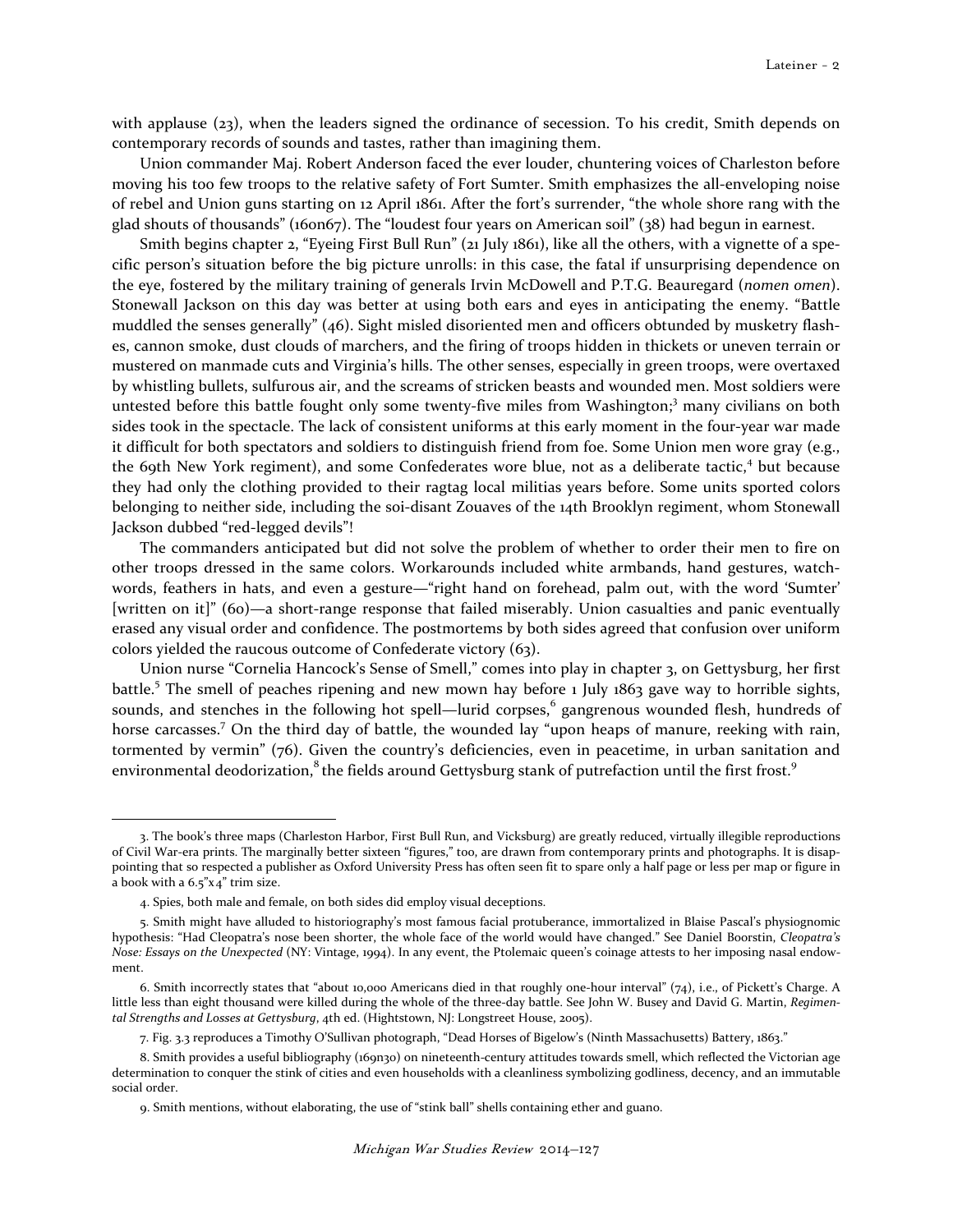with applause (23), when the leaders signed the ordinance of secession. To his credit, Smith depends on contemporary records of sounds and tastes, rather than imagining them.

Union commander Maj. Robert Anderson faced the ever louder, chuntering voices of Charleston before moving his too few troops to the relative safety of Fort Sumter. Smith emphasizes the all-enveloping noise of rebel and Union guns starting on 12 April 1861. After the fort's surrender, "the whole shore rang with the glad shouts of thousands" (160n67). The "loudest four years on American soil" (38) had begun in earnest.

Smith begins chapter 2, "Eyeing First Bull Run" (21 July 1861), like all the others, with a vignette of a specific person's situation before the big picture unrolls: in this case, the fatal if unsurprising dependence on the eye, fostered by the military training of generals Irvin McDowell and P.T.G. Beauregard (nomen omen). Stonewall Jackson on this day was better at using both ears and eyes in anticipating the enemy. "Battle muddled the senses generally" (46). Sight misled disoriented men and officers obtunded by musketry flashes, cannon smoke, dust clouds of marchers, and the firing of troops hidden in thickets or uneven terrain or mustered on manmade cuts and Virginia's hills. The other senses, especially in green troops, were overtaxed by whistling bullets, sulfurous air, and the screams of stricken beasts and wounded men. Most soldiers were untested before this battle fought only some twenty-five miles from Washington;<sup>3</sup> many civilians on both sides took in the spectacle. The lack of consistent uniforms at this early moment in the four-year war made it difficult for both spectators and soldiers to distinguish friend from foe. Some Union men wore gray (e.g., the 69th New York regiment), and some Confederates wore blue, not as a deliberate tactic,<sup>4</sup> but because they had only the clothing provided to their ragtag local militias years before. Some units sported colors belonging to neither side, including the soi-disant Zouaves of the 14th Brooklyn regiment, whom Stonewall Jackson dubbed "red-legged devils"!

The commanders anticipated but did not solve the problem of whether to order their men to fire on other troops dressed in the same colors. Workarounds included white armbands, hand gestures, watchwords, feathers in hats, and even a gesture—"right hand on forehead, palm out, with the word 'Sumter' [written on it]" (60)—a short-range response that failed miserably. Union casualties and panic eventually erased any visual order and confidence. The postmortems by both sides agreed that confusion over uniform colors yielded the raucous outcome of Confederate victory (63).

Union nurse "Cornelia Hancock's Sense of Smell," comes into play in chapter 3, on Gettysburg, her first battle.<sup>5</sup> The smell of peaches ripening and new mown hay before 1 July 1863 gave way to horrible sights, sounds, and stenches in the following hot spell—lurid corpses,<sup>6</sup> gangrenous wounded flesh, hundreds of horse carcasses.<sup>7</sup> On the third day of battle, the wounded lay "upon heaps of manure, reeking with rain, tormented by vermin" (76). Given the country's deficiencies, even in peacetime, in urban sanitation and environmental deodorization,<sup>8</sup> the fields around Gettysburg stank of putrefaction until the first frost.<sup>9</sup>

 $\overline{\phantom{0}}$ 

<sup>3.</sup> The book's three maps (Charleston Harbor, First Bull Run, and Vicksburg) are greatly reduced, virtually illegible reproductions of Civil War-era prints. The marginally better sixteen "figures," too, are drawn from contemporary prints and photographs. It is disappointing that so respected a publisher as Oxford University Press has often seen fit to spare only a half page or less per map or figure in a book with a  $6.5"x4"$  trim size.

<sup>4.</sup> Spies, both male and female, on both sides did employ visual deceptions.

<sup>5.</sup> Smith might have alluded to historiography's most famous facial protuberance, immortalized in Blaise Pascal's physiognomic hypothesis: "Had Cleopatra's nose been shorter, the whole face of the world would have changed." See Daniel Boorstin, Cleopatra's Nose: Essays on the Unexpected (NY: Vintage, 1994). In any event, the Ptolemaic queen's coinage attests to her imposing nasal endowment.

<sup>6.</sup> Smith incorrectly states that "about 10,000 Americans died in that roughly one-hour interval" (74), i.e., of Pickett's Charge. A little less than eight thousand were killed during the whole of the three-day battle. See John W. Busey and David G. Martin, Regimental Strengths and Losses at Gettysburg, 4th ed. (Hightstown, NJ: Longstreet House, 2005).

<sup>7.</sup> Fig. 3.3 reproduces a Timothy O'Sullivan photograph, "Dead Horses of Bigelow's (Ninth Massachusetts) Battery, 1863."

<sup>8.</sup> Smith provides a useful bibliography (169n30) on nineteenth-century attitudes towards smell, which reflected the Victorian age determination to conquer the stink of cities and even households with a cleanliness symbolizing godliness, decency, and an immutable social order.

<sup>9.</sup> Smith mentions, without elaborating, the use of "stink ball" shells containing ether and guano.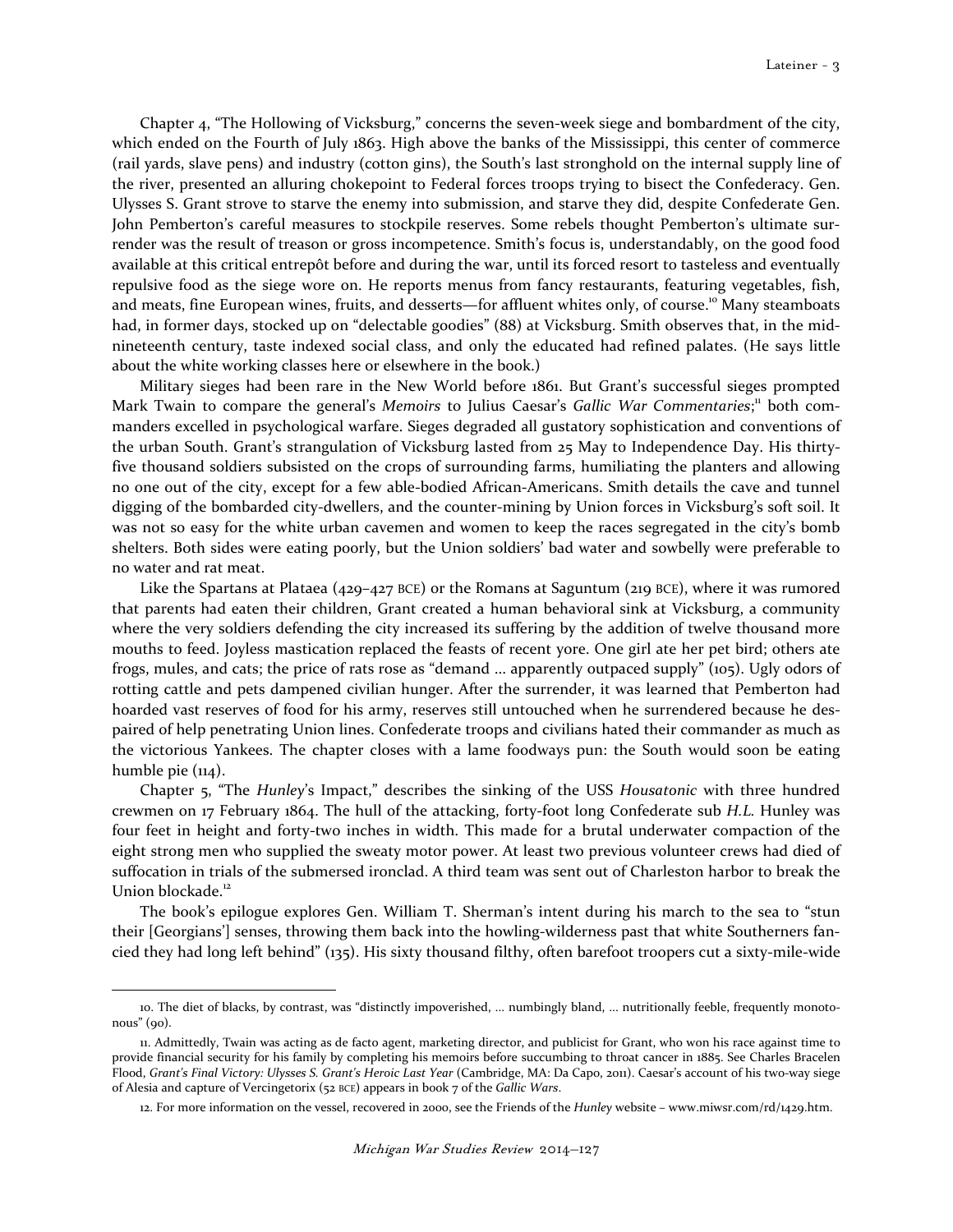Chapter 4, "The Hollowing of Vicksburg," concerns the seven-week siege and bombardment of the city, which ended on the Fourth of July 1863. High above the banks of the Mississippi, this center of commerce (rail yards, slave pens) and industry (cotton gins), the South's last stronghold on the internal supply line of the river, presented an alluring chokepoint to Federal forces troops trying to bisect the Confederacy. Gen. Ulysses S. Grant strove to starve the enemy into submission, and starve they did, despite Confederate Gen. John Pemberton's careful measures to stockpile reserves. Some rebels thought Pemberton's ultimate surrender was the result of treason or gross incompetence. Smith's focus is, understandably, on the good food available at this critical entrepôt before and during the war, until its forced resort to tasteless and eventually repulsive food as the siege wore on. He reports menus from fancy restaurants, featuring vegetables, fish, and meats, fine European wines, fruits, and desserts—for affluent whites only, of course.<sup>10</sup> Many steamboats had, in former days, stocked up on "delectable goodies" (88) at Vicksburg. Smith observes that, in the midnineteenth century, taste indexed social class, and only the educated had refined palates. (He says little about the white working classes here or elsewhere in the book.)

Military sieges had been rare in the New World before 1861. But Grant's successful sieges prompted Mark Twain to compare the general's Memoirs to Julius Caesar's Gallic War Commentaries;<sup>n</sup> both commanders excelled in psychological warfare. Sieges degraded all gustatory sophistication and conventions of the urban South. Grant's strangulation of Vicksburg lasted from 25 May to Independence Day. His thirtyfive thousand soldiers subsisted on the crops of surrounding farms, humiliating the planters and allowing no one out of the city, except for a few able-bodied African-Americans. Smith details the cave and tunnel digging of the bombarded city-dwellers, and the counter-mining by Union forces in Vicksburg's soft soil. It was not so easy for the white urban cavemen and women to keep the races segregated in the city's bomb shelters. Both sides were eating poorly, but the Union soldiers' bad water and sowbelly were preferable to no water and rat meat.

Like the Spartans at Plataea (429–427 BCE) or the Romans at Saguntum (219 BCE), where it was rumored that parents had eaten their children, Grant created a human behavioral sink at Vicksburg, a community where the very soldiers defending the city increased its suffering by the addition of twelve thousand more mouths to feed. Joyless mastication replaced the feasts of recent yore. One girl ate her pet bird; others ate frogs, mules, and cats; the price of rats rose as "demand ... apparently outpaced supply" (105). Ugly odors of rotting cattle and pets dampened civilian hunger. After the surrender, it was learned that Pemberton had hoarded vast reserves of food for his army, reserves still untouched when he surrendered because he despaired of help penetrating Union lines. Confederate troops and civilians hated their commander as much as the victorious Yankees. The chapter closes with a lame foodways pun: the South would soon be eating humble pie  $(114)$ .

Chapter 5, "The Hunley's Impact," describes the sinking of the USS Housatonic with three hundred crewmen on 17 February 1864. The hull of the attacking, forty-foot long Confederate sub H.L. Hunley was four feet in height and forty-two inches in width. This made for a brutal underwater compaction of the eight strong men who supplied the sweaty motor power. At least two previous volunteer crews had died of suffocation in trials of the submersed ironclad. A third team was sent out of Charleston harbor to break the Union blockade.<sup>12</sup>

The book's epilogue explores Gen. William T. Sherman's intent during his march to the sea to "stun their [Georgians'] senses, throwing them back into the howling-wilderness past that white Southerners fancied they had long left behind" (135). His sixty thousand filthy, often barefoot troopers cut a sixty-mile-wide

 $\overline{a}$ 

<sup>10.</sup> The diet of blacks, by contrast, was "distinctly impoverished, ... numbingly bland, ... nutritionally feeble, frequently monotonous" (90).

<sup>11.</sup> Admittedly, Twain was acting as de facto agent, marketing director, and publicist for Grant, who won his race against time to provide financial security for his family by completing his memoirs before succumbing to throat cancer in 1885. See Charles Bracelen Flood, Grant's Final Victory: Ulysses S. Grant's Heroic Last Year (Cambridge, MA: Da Capo, 2011). Caesar's account of his two-way siege of Alesia and capture of Vercingetorix (52 BCE) appears in book 7 of the Gallic Wars.

<sup>12.</sup> For more information on the vessel, recovered in 2000, see the Friends of the Hunley website – www.miwsr.com/rd/1429.htm.